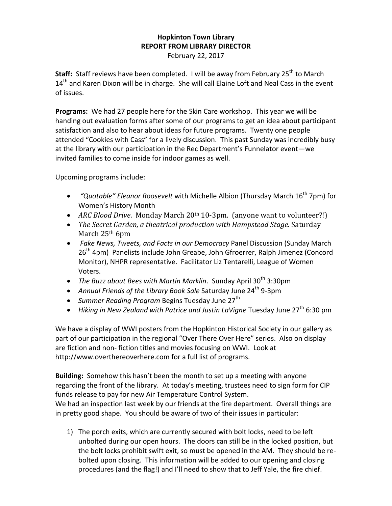## **Hopkinton Town Library REPORT FROM LIBRARY DIRECTOR** February 22, 2017

**Staff:** Staff reviews have been completed. I will be away from February 25<sup>th</sup> to March  $14<sup>th</sup>$  and Karen Dixon will be in charge. She will call Elaine Loft and Neal Cass in the event of issues.

**Programs:** We had 27 people here for the Skin Care workshop. This year we will be handing out evaluation forms after some of our programs to get an idea about participant satisfaction and also to hear about ideas for future programs. Twenty one people attended "Cookies with Cass" for a lively discussion. This past Sunday was incredibly busy at the library with our participation in the Rec Department's Funnelator event—we invited families to come inside for indoor games as well.

Upcoming programs include:

- *"Quotable" Eleanor Roosevelt* with Michelle Albion (Thursday March 16th 7pm) for Women's History Month
- *ARC Blood Drive*. Monday March 20th 10-3pm. (anyone want to volunteer?!)
- *The Secret Garden, a theatrical production with Hampstead Stage.* Saturday March 25th 6pm
- *Fake News, Tweets, and Facts in our Democracy* Panel Discussion (Sunday March 26<sup>th</sup> 4pm) Panelists include John Greabe, John Gfroerrer, Ralph Jimenez (Concord Monitor), NHPR representative. Facilitator Liz Tentarelli, League of Women Voters.
- The Buzz about Bees with Martin Marklin. Sunday April 30<sup>th</sup> 3:30pm
- Annual Friends of the Library Book Sale Saturday June 24<sup>th</sup> 9-3pm
- *Summer Reading Program* Begins Tuesday June 27<sup>th</sup>
- Hiking in New Zealand with Patrice and Justin LaVigne Tuesday June 27<sup>th</sup> 6:30 pm

We have a display of WWI posters from the Hopkinton Historical Society in our gallery as part of our participation in the regional "Over There Over Here" series. Also on display are fiction and non- fiction titles and movies focusing on WWI. Look at http://www.overthereoverhere.com for a full list of programs.

**Building:** Somehow this hasn't been the month to set up a meeting with anyone regarding the front of the library. At today's meeting, trustees need to sign form for CIP funds release to pay for new Air Temperature Control System. We had an inspection last week by our friends at the fire department. Overall things are in pretty good shape. You should be aware of two of their issues in particular:

1) The porch exits, which are currently secured with bolt locks, need to be left unbolted during our open hours. The doors can still be in the locked position, but the bolt locks prohibit swift exit, so must be opened in the AM. They should be rebolted upon closing. This information will be added to our opening and closing procedures (and the flag!) and I'll need to show that to Jeff Yale, the fire chief.